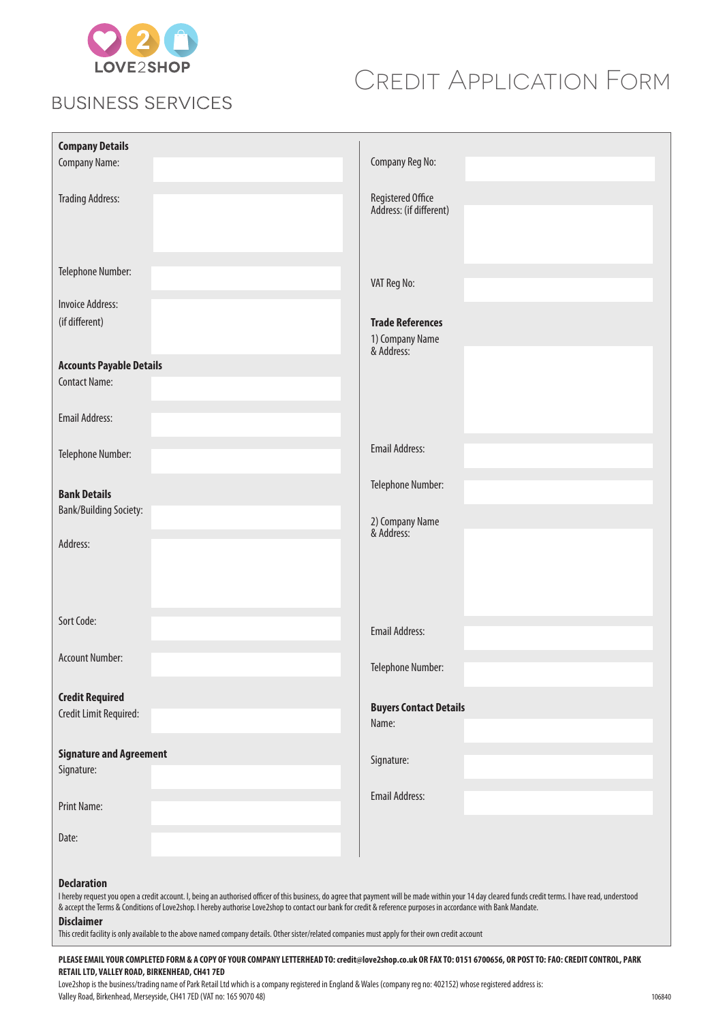

## **BUSINESS SERVICES**

# Credit Application Form

| <b>Company Details</b><br><b>Company Name:</b>          | Company Reg No:                                          |
|---------------------------------------------------------|----------------------------------------------------------|
| <b>Trading Address:</b>                                 | Registered Office<br>Address: (if different)             |
| Telephone Number:<br><b>Invoice Address:</b>            | VAT Reg No:                                              |
| (if different)                                          | <b>Trade References</b><br>1) Company Name<br>& Address: |
| <b>Accounts Payable Details</b><br><b>Contact Name:</b> |                                                          |
| <b>Email Address:</b>                                   |                                                          |
| Telephone Number:                                       | <b>Email Address:</b>                                    |
| <b>Bank Details</b><br><b>Bank/Building Society:</b>    | Telephone Number:                                        |
| Address:                                                | 2) Company Name<br>& Address:                            |
| Sort Code:                                              |                                                          |
| <b>Account Number:</b>                                  | <b>Email Address:</b>                                    |
| <b>Credit Required</b>                                  | Telephone Number:                                        |
| Credit Limit Required:                                  | <b>Buyers Contact Details</b><br>Name:                   |
| <b>Signature and Agreement</b><br>Signature:            | Signature:                                               |
| <b>Print Name:</b>                                      | <b>Email Address:</b>                                    |
| Date:                                                   |                                                          |
| <b>Declaration</b>                                      |                                                          |

I hereby request you open a credit account. I, being an authorised officer of this business, do agree that payment will be made within your 14 day cleared funds credit terms. I have read, understood & accept the Terms & Conditions of Love2shop. I hereby authorise Love2shop to contact our bank for credit & reference purposes in accordance with Bank Mandate.

## **Disclaimer**

This credit facility is only available to the above named company details. Other sister/related companies must apply for their own credit account

## **PLEASE EMAIL YOUR COMPLETED FORM & A COPY OF YOUR COMPANY LETTERHEAD TO: credit@love2shop.co.uk OR FAX TO: 0151 6700656, OR POST TO: FAO: CREDIT CONTROL, PARK RETAIL LTD, VALLEY ROAD, BIRKENHEAD, CH41 7ED**

Love2shop is the business/trading name of Park Retail Ltd which is a company registered in England & Wales (company reg no: 402152) whose registered address is: Valley Road, Birkenhead, Merseyside, CH41 7ED (VAT no: 165 9070 48)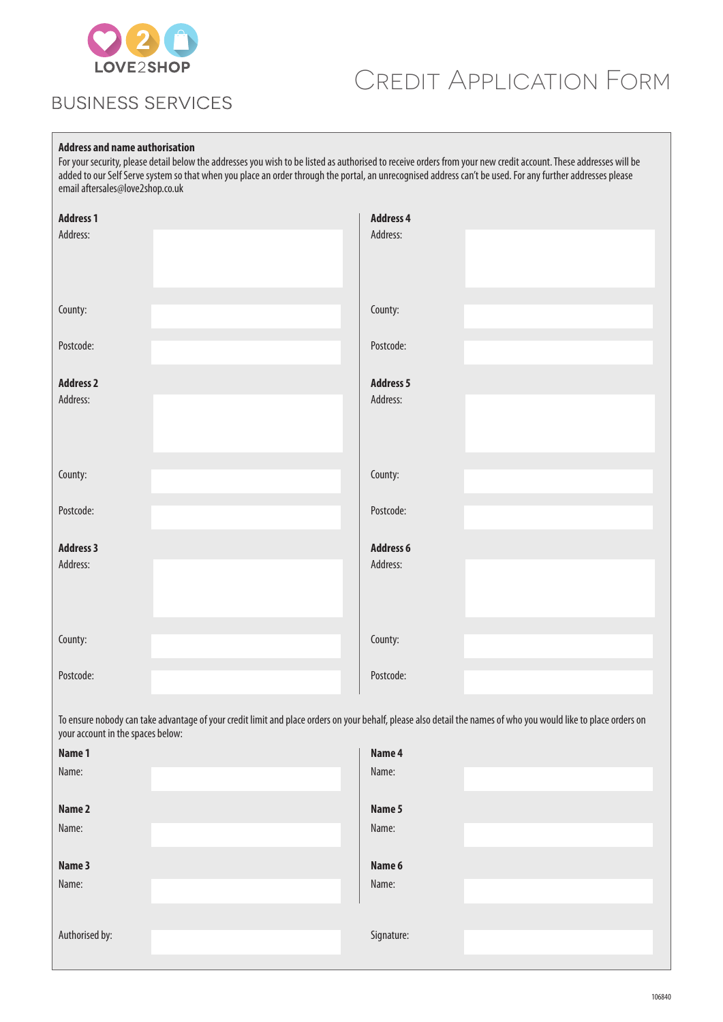

## **BUSINESS SERVICES**

# Credit Application Form

## **Address and name authorisation**

For your security, please detail below the addresses you wish to be listed as authorised to receive orders from your new credit account. These addresses will be added to our Self Serve system so that when you place an order through the portal, an unrecognised address can't be used. For any further addresses please email aftersales@love2shop.co.uk

| <b>Address 1</b><br>Address: | <b>Address 4</b><br>Address: |  |
|------------------------------|------------------------------|--|
| County:                      | County:                      |  |
| Postcode:                    | Postcode:                    |  |
| <b>Address 2</b><br>Address: | <b>Address 5</b><br>Address: |  |
| County:                      | County:                      |  |
| Postcode:                    | Postcode:                    |  |
| <b>Address 3</b><br>Address: | <b>Address 6</b><br>Address: |  |
| County:                      | County:                      |  |
| Postcode:                    | Postcode:                    |  |

To ensure nobody can take advantage of your credit limit and place orders on your behalf, please also detail the names of who you would like to place orders on your account in the spaces below:

| Name 1         | Name 4     |  |
|----------------|------------|--|
| Name:          | Name:      |  |
| Name 2         | Name 5     |  |
| Name:          | Name:      |  |
| Name 3         | Name 6     |  |
| Name:          | Name:      |  |
|                |            |  |
| Authorised by: | Signature: |  |